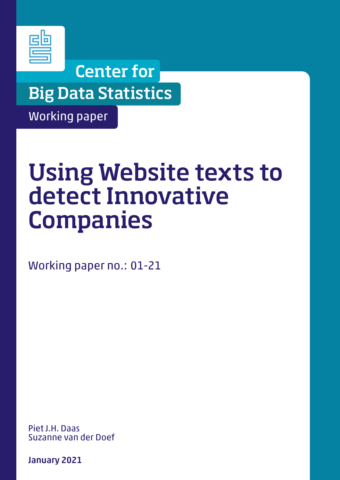

## Center for Big Data Statistics

Working paper

# Using Website texts to detect Innovative Companies

Working paper no.: 01-21

Piet J.H. Daas Suzanne van der Doef

January 2021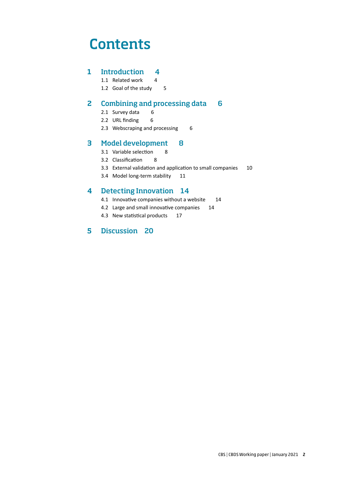## **Contents**

## 1 Introduction 4

- 1.1 Related work 4
- 1.2 Goal of the study 5

## 2 Combining and processing data 6

- 2.1 Survey data 6
- 2.2 URL finding 6
- 2.3 Webscraping and processing 6

## 3 Model development 8

- 3.1 Variable selection 8
- 3.2 Classification 8
- 3.3 External validation and application to small companies 10
- 3.4 Model long-term stability 11

### 4 Detecting Innovation 14

- 4.1 Innovative companies without a website 14
- 4.2 Large and small innovative companies 14
- 4.3 New statistical products 17

### 5 Discussion 20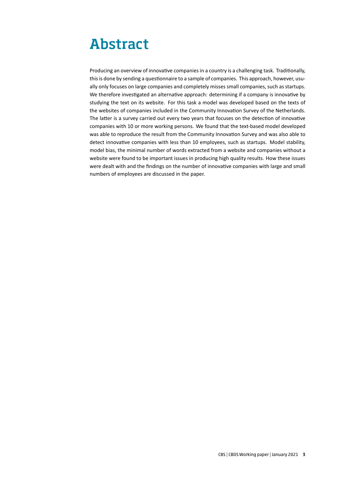## Abstract

Producing an overview of innovative companies in a country is a challenging task. Traditionally, this is done by sending a questionnaire to a sample of companies. This approach, however, usually only focuses on large companies and completely misses small companies, such as startups. We therefore investigated an alternative approach: determining if a company is innovative by studying the text on its website. For this task a model was developed based on the texts of the websites of companies included in the Community Innovation Survey of the Netherlands. The latter is a survey carried out every two years that focuses on the detection of innovative companies with 10 or more working persons. We found that the text-based model developed was able to reproduce the result from the Community Innovation Survey and was also able to detect innovative companies with less than 10 employees, such as startups. Model stability, model bias, the minimal number of words extracted from a website and companies without a website were found to be important issues in producing high quality results. How these issues were dealt with and the findings on the number of innovative companies with large and small numbers of employees are discussed in the paper.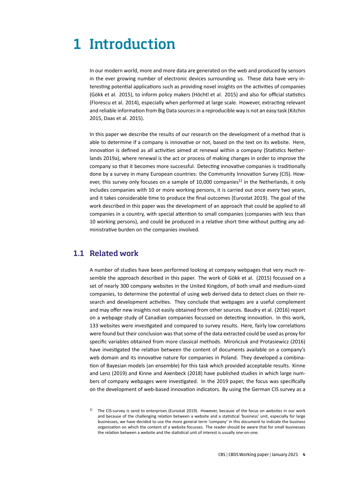## 1 Introduction

In our modern world, more and more data are generated on the web and produced by sensors in the ever growing number of electronic devices surrounding us. These data have very interesting potential applications such as providing novel insights on the activities of companies (Gökk et al. 2015), to inform policy makers (Höchtl et al. 2015) and also for official statistics (Florescu et al. 2014), especially when performed at large scale. However, extracting relevant and reliable information from Big Data sources in a reproducible way is not an easy task (Kitchin 2015, Daas et al. 2015).

In this paper we describe the results of our research on the development of a method that is able to determine if a company is innovative or not, based on the text on its website. Here, innovation is defined as all activities aimed at renewal within a company (Statistics Netherlands 2019a), where renewal is the act or process of making changes in order to improve the company so that it becomes more successful. Detecting innovative companies is traditionally done by a survey in many European countries: the Community Innovation Survey (CIS). However, this survey only focuses on a sample of 10,000 companies<sup>1)</sup> in the Netherlands, it only includes companies with 10 or more working persons, it is carried out once every two years, and it takes considerable time to produce the final outcomes (Eurostat 2019). The goal of the work described in this paper was the development of an approach that could be applied to all companies in a country, with special attention to small companies (companies with less than 10 working persons), and could be produced in a relative short time without putting any administrative burden on the companies involved.

## 1.1 Related work

A number of studies have been performed looking at company webpages that very much resemble the approach described in this paper. The work of Gökk et al. (2015) focussed on a set of nearly 300 company websites in the United Kingdom, of both small and medium-sized companies, to determine the potential of using web derived data to detect clues on their research and development activities. They conclude that webpages are a useful complement and may offer new insights not easily obtained from other sources. Baudry et al. (2016) report on a webpage study of Canadian companies focussed on detecting innovation. In this work, 133 websites were investigated and compared to survey results. Here, fairly low correlations were found but their conclusion was that some of the data extracted could be used as proxy for specific variables obtained from more classical methods. Mirończuk and Protasiewicz (2016) have investigated the relation between the content of documents available on a company's web domain and its innovative nature for companies in Poland. They developed a combination of Bayesian models (an ensemble) for this task which provided acceptable results. Kinne and Lenz (2019) and Kinne and Axenbeck (2018) have published studies in which large numbers of company webpages were investigated. In the 2019 paper, the focus was specifically on the development of web-based innovation indicators. By using the German CIS survey as a

 $1)$  The CIS-survey is send to enterprises (Eurostat 2019). However, because of the focus on websites in our work and because of the challenging relation between a website and a statistical 'business' unit, especially for large businesses, we have decided to use the more general term 'company' in this document to indicate the business organization on which the content of a website focusses. The reader should be aware that for small businesses the relation between a website and the statistical unit of interest is usually one-on-one.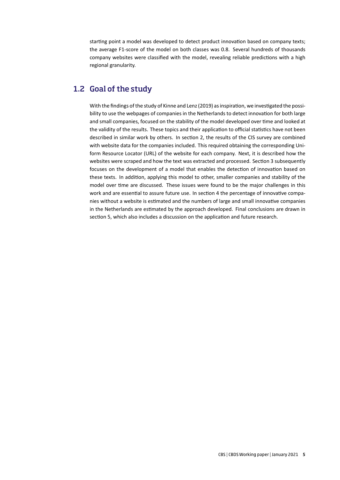starting point a model was developed to detect product innovation based on company texts; the average F1-score of the model on both classes was 0.8. Several hundreds of thousands company websites were classified with the model, revealing reliable predictions with a high regional granularity.

## 1.2 Goal of the study

With the findings of the study of Kinne and Lenz (2019) as inspiration, we investigated the possibility to use the webpages of companies in the Netherlands to detect innovation for both large and small companies, focused on the stability of the model developed over time and looked at the validity of the results. These topics and their application to official statistics have not been described in similar work by others. In section 2, the results of the CIS survey are combined with website data for the companies included. This required obtaining the corresponding Uniform Resource Locator (URL) of the website for each company. Next, it is described how the websites were scraped and how the text was extracted and processed. Section 3 subsequently focuses on the development of a model that enables the detection of innovation based on these texts. In addition, applying this model to other, smaller companies and stability of the model over time are discussed. These issues were found to be the major challenges in this work and are essential to assure future use. In section 4 the percentage of innovative companies without a website is estimated and the numbers of large and small innovative companies in the Netherlands are estimated by the approach developed. Final conclusions are drawn in section 5, which also includes a discussion on the application and future research.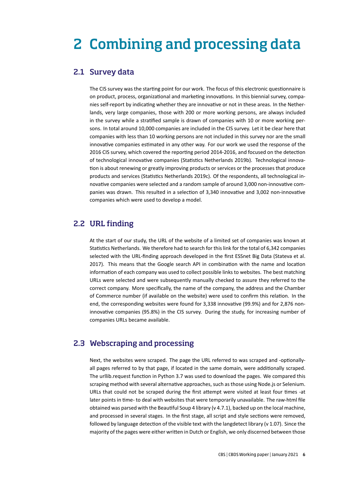## 2 Combining and processing data

### 2.1 Survey data

The CIS survey was the starting point for our work. The focus of this electronic questionnaire is on product, process, organizational and marketing innovations. In this biennial survey, companies self-report by indicating whether they are innovative or not in these areas. In the Netherlands, very large companies, those with 200 or more working persons, are always included in the survey while a stratified sample is drawn of companies with 10 or more working persons. In total around 10,000 companies are included in the CIS survey. Let it be clear here that companies with less than 10 working persons are not included in this survey nor are the small innovative companies estimated in any other way. For our work we used the response of the 2016 CIS survey, which covered the reporting period 2014-2016, and focused on the detection of technological innovative companies (Statistics Netherlands 2019b). Technological innovation is about renewing or greatly improving products or services or the processes that produce products and services (Statistics Netherlands 2019c). Of the respondents, all technological innovative companies were selected and a random sample of around 3,000 non-innovative companies was drawn. This resulted in a selection of 3,340 innovative and 3,002 non-innovative companies which were used to develop a model.

## 2.2 URL finding

At the start of our study, the URL of the website of a limited set of companies was known at Statistics Netherlands. We therefore had to search for this link for the total of 6,342 companies selected with the URL-finding approach developed in the first ESSnet Big Data (Stateva et al. 2017). This means that the Google search API in combination with the name and location information of each company was used to collect possible links to websites. The best matching URLs were selected and were subsequently manually checked to assure they referred to the correct company. More specifically, the name of the company, the address and the Chamber of Commerce number (if available on the website) were used to confirm this relation. In the end, the corresponding websites were found for 3,338 innovative (99.9%) and for 2,876 noninnovative companies (95.8%) in the CIS survey. During the study, for increasing number of companies URLs became available.

## 2.3 Webscraping and processing

Next, the websites were scraped. The page the URL referred to was scraped and -optionallyall pages referred to by that page, if located in the same domain, were additionally scraped. The urllib.request function in Python 3.7 was used to download the pages. We compared this scraping method with several alternative approaches, such as those using Node.js or Selenium. URLs that could not be scraped during the first attempt were visited at least four times -at later points in time- to deal with websites that were temporarily unavailable. The raw-html file obtained was parsed with the Beautiful Soup 4 library (v 4.7.1), backed up on the local machine, and processed in several stages. In the first stage, all script and style sections were removed, followed by language detection of the visible text with the langdetect library ( $v$  1.07). Since the majority of the pages were either written in Dutch or English, we only discerned between those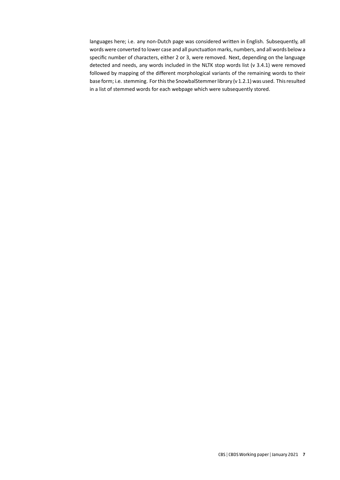languages here; i.e. any non-Dutch page was considered written in English. Subsequently, all words were converted to lower case and all punctuation marks, numbers, and all words below a specific number of characters, either 2 or 3, were removed. Next, depending on the language detected and needs, any words included in the NLTK stop words list (v 3.4.1) were removed followed by mapping of the different morphological variants of the remaining words to their base form; i.e. stemming. For this the SnowbalStemmer library (v 1.2.1) was used. This resulted in a list of stemmed words for each webpage which were subsequently stored.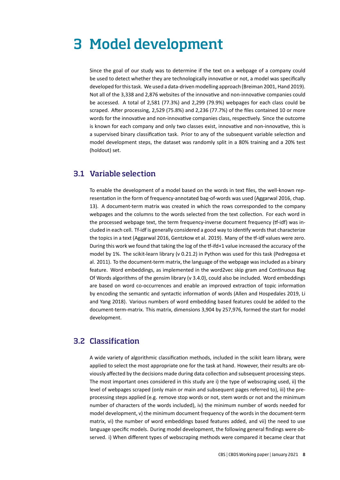## 3 Model development

Since the goal of our study was to determine if the text on a webpage of a company could be used to detect whether they are technologically innovative or not, a model was specifically developed for this task. We used a data-driven modelling approach (Breiman 2001, Hand 2019). Not all of the 3,338 and 2,876 websites of the innovative and non-innovative companies could be accessed. A total of 2,581 (77.3%) and 2,299 (79.9%) webpages for each class could be scraped. After processing, 2,529 (75.8%) and 2,236 (77.7%) of the files contained 10 or more words for the innovative and non-innovative companies class, respectively. Since the outcome is known for each company and only two classes exist, innovative and non-innovative, this is a supervised binary classification task. Prior to any of the subsequent variable selection and model development steps, the dataset was randomly split in a 80% training and a 20% test (holdout) set.

### 3.1 Variable selection

To enable the development of a model based on the words in text files, the well-known representation in the form of frequency-annotated bag-of-words was used (Aggarwal 2016, chap. 13). A document-term matrix was created in which the rows corresponded to the company webpages and the columns to the words selected from the text collection. For each word in the processed webpage text, the term frequency-inverse document frequency (tf-idf) was included in each cell. Tf-idf is generally considered a good way to identify words that characterize the topics in a text (Aggarwal 2016, Gentzkow et al. 2019). Many of the tf-idf values were zero. During this work we found that taking the log of the tf-ifd+1 value increased the accuracy of the model by 1%. The scikit-learn library (v 0.21.2) in Python was used for this task (Pedregosa et al. 2011). To the document-term matrix, the language of the webpage was included as a binary feature. Word embeddings, as implemented in the word2vec skip gram and Continuous Bag Of Words algorithms of the gensim library (v 3.4.0), could also be included. Word embeddings are based on word co-occurrences and enable an improved extraction of topic information by encoding the semantic and syntactic information of words (Allen and Hospedales 2019, Li and Yang 2018). Various numbers of word embedding based features could be added to the document-term-matrix. This matrix, dimensions 3,904 by 257,976, formed the start for model development.

## 3.2 Classification

A wide variety of algorithmic classification methods, included in the scikit learn library, were applied to select the most appropriate one for the task at hand. However, their results are obviously affected by the decisions made during data collection and subsequent processing steps. The most important ones considered in this study are i) the type of webscraping used, ii) the level of webpages scraped (only main or main and subsequent pages referred to), iii) the preprocessing steps applied (e.g. remove stop words or not, stem words or not and the minimum number of characters of the words included), iv) the minimum number of words needed for model development, v) the minimum document frequency of the words in the document-term matrix, vi) the number of word embeddings based features added, and vii) the need to use language specific models. During model development, the following general findings were observed. i) When different types of webscraping methods were compared it became clear that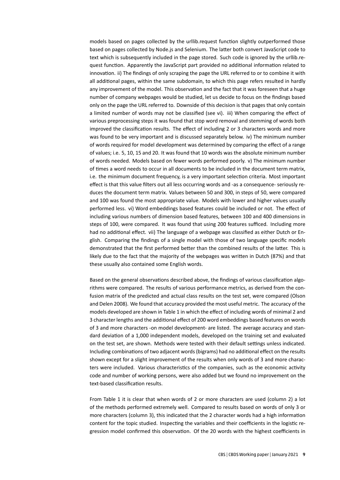models based on pages collected by the urllib.request function slightly outperformed those based on pages collected by Node.js and Selenium. The latter both convert JavaScript code to text which is subsequently included in the page stored. Such code is ignored by the urllib.request function. Apparently the JavaScript part provided no additional information related to innovation. ii) The findings of only scraping the page the URL referred to or to combine it with all additional pages, within the same subdomain, to which this page refers resulted in hardly any improvement of the model. This observation and the fact that it was foreseen that a huge number of company webpages would be studied, let us decide to focus on the findings based only on the page the URL referred to. Downside of this decision is that pages that only contain a limited number of words may not be classified (see vi). iii) When comparing the effect of various preprocessing steps it was found that stop word removal and stemming of words both improved the classification results. The effect of including 2 or 3 characters words and more was found to be very important and is discussed separately below. iv) The minimum number of words required for model development was determined by comparing the effect of a range of values; i.e. 5, 10, 15 and 20. It was found that 10 words was the absolute minimum number of words needed. Models based on fewer words performed poorly. v) The minimum number of times a word needs to occur in all documents to be included in the document term matrix, i.e. the minimum document frequency, is a very important selection criteria. Most important effect is that this value filters out all less occurring words and -as a consequence- seriously reduces the document term matrix. Values between 50 and 300, in steps of 50, were compared and 100 was found the most appropriate value. Models with lower and higher values usually performed less. vi) Word embeddings based features could be included or not. The effect of including various numbers of dimension based features, between 100 and 400 dimensions in steps of 100, were compared. It was found that using 200 features sufficed. Including more had no additional effect. vii) The language of a webpage was classified as either Dutch or English. Comparing the findings of a single model with those of two language specific models demonstrated that the first performed better than the combined results of the latter. This is likely due to the fact that the majority of the webpages was written in Dutch (87%) and that these usually also contained some English words.

Based on the general observations described above, the findings of various classification algorithms were compared. The results of various performance metrics, as derived from the confusion matrix of the predicted and actual class results on the test set, were compared (Olson and Delen 2008). We found that accuracy provided the most useful metric. The accuracy of the models developed are shown in Table 1 in which the effect of including words of minimal 2 and 3 character lengths and the additional effect of 200 word embeddings based features on words of 3 and more characters -on model development- are listed. The average accuracy and standard deviation of a 1,000 independent models, developed on the training set and evaluated on the test set, are shown. Methods were tested with their default settings unless indicated. Including combinations of two adjacent words (bigrams) had no additional effect on the results shown except for a slight improvement of the results when only words of 3 and more characters were included. Various characteristics of the companies, such as the economic activity code and number of working persons, were also added but we found no improvement on the text-based classification results.

From Table 1 it is clear that when words of 2 or more characters are used (column 2) a lot of the methods performed extremely well. Compared to results based on words of only 3 or more characters (column 3), this indicated that the 2 character words had a high information content for the topic studied. Inspecting the variables and their coefficients in the logistic regression model confirmed this observation. Of the 20 words with the highest coefficients in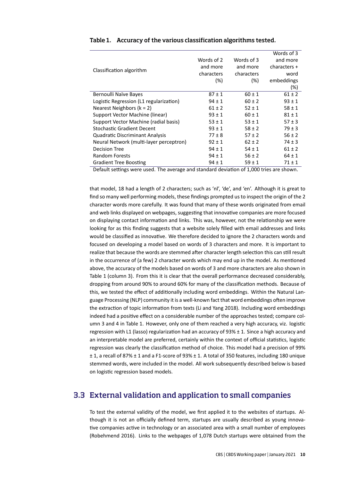|                                         |            |            | Words of 3   |
|-----------------------------------------|------------|------------|--------------|
| Classification algorithm                | Words of 2 | Words of 3 | and more     |
|                                         | and more   | and more   | characters + |
|                                         | characters | characters | word         |
|                                         | $(\%)$     | (%)        | embeddings   |
|                                         |            |            | (%)          |
| Bernoulli Naïve Bayes                   | $87 \pm 1$ | $60 \pm 1$ | $61 \pm 2$   |
| Logistic Regression (L1 regularization) | $94 \pm 1$ | $60 \pm 2$ | $93 \pm 1$   |
| Nearest Neighbors ( $k = 2$ )           | $61 \pm 2$ | $52 \pm 1$ | $58 \pm 1$   |
| Support Vector Machine (linear)         | $93 \pm 1$ | $60 \pm 1$ | $81 \pm 1$   |
| Support Vector Machine (radial basis)   | $53 \pm 1$ | $53 \pm 1$ | $57 \pm 3$   |
| Stochastic Gradient Decent              | $93 \pm 1$ | $58 \pm 2$ | $79 \pm 3$   |
| <b>Quadratic Discriminant Analysis</b>  | $77 \pm 8$ | $57 \pm 2$ | $56 \pm 2$   |
| Neural Network (multi-layer perceptron) | $92 \pm 1$ | $62 \pm 2$ | $74 \pm 3$   |
| <b>Decision Tree</b>                    | $94 \pm 1$ | $54 \pm 1$ | $61 \pm 2$   |
| <b>Random Forests</b>                   | $94 \pm 1$ | $56 \pm 2$ | $64 \pm 1$   |
| <b>Gradient Tree Boosting</b>           | $94 \pm 1$ | $59 \pm 1$ | 71 ± 1       |

#### Table 1. Accuracy of the various classification algorithms tested.

Default settings were used. The average and standard deviation of 1,000 tries are shown.

that model, 18 had a length of 2 characters; such as 'nl', 'de', and 'en'. Although it is great to find so many well performing models, these findings prompted us to inspect the origin of the 2 character words more carefully. It was found that many of these words originated from email and web links displayed on webpages, suggesting that innovative companies are more focused on displaying contact information and links. This was, however, not the relationship we were looking for as this finding suggests that a website solely filled with email addresses and links would be classified as innovative. We therefore decided to ignore the 2 characters words and focused on developing a model based on words of 3 characters and more. It is important to realize that because the words are stemmed after character length selection this can still result in the occurrence of (a few) 2 character words which may end up in the model. As mentioned above, the accuracy of the models based on words of 3 and more characters are also shown in Table 1 (column 3). From this it is clear that the overall performance decreased considerably, dropping from around 90% to around 60% for many of the classification methods. Because of this, we tested the effect of additionally including word embeddings. Within the Natural Language Processing (NLP) community it is a well-known fact that word embeddings often improve the extraction of topic information from texts (Li and Yang 2018). Including word embeddings indeed had a positive effect on a considerable number of the approaches tested; compare column 3 and 4 in Table 1. However, only one of them reached a very high accuracy, viz. logistic regression with L1 (lasso) regularization had an accuracy of 93% ± 1. Since a high accuracy and an interpretable model are preferred, certainly within the context of official statistics, logistic regression was clearly the classification method of choice. This model had a precision of 99% ± 1, a recall of 87% ± 1 and a F1-score of 93% ± 1. A total of 350 features, including 180 unique stemmed words, were included in the model. All work subsequently described below is based on logistic regression based models.

## 3.3 External validation and application to small companies

To test the external validity of the model, we first applied it to the websites of startups. Although it is not an officially defined term, startups are usually described as young innovative companies active in technology or an associated area with a small number of employees (Robehmend 2016). Links to the webpages of 1,078 Dutch startups were obtained from the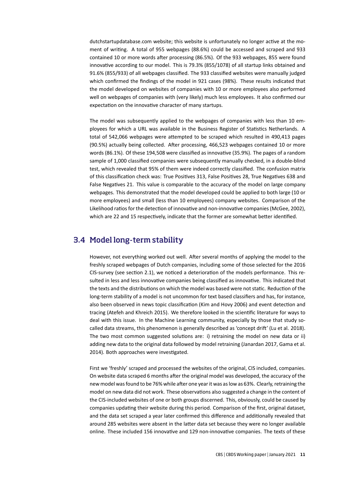dutchstartupdatabase.com website; this website is unfortunately no longer active at the moment of writing. A total of 955 webpages (88.6%) could be accessed and scraped and 933 contained 10 or more words after processing (86.5%). Of the 933 webpages, 855 were found innovative according to our model. This is 79.3% (855/1078) of all startup links obtained and 91.6% (855/933) of all webpages classified. The 933 classified websites were manually judged which confirmed the findings of the model in 921 cases (98%). These results indicated that the model developed on websites of companies with 10 or more employees also performed well on webpages of companies with (very likely) much less employees. It also confirmed our expectation on the innovative character of many startups.

The model was subsequently applied to the webpages of companies with less than 10 employees for which a URL was available in the Business Register of Statistics Netherlands. A total of 542,066 webpages were attempted to be scraped which resulted in 490,413 pages (90.5%) actually being collected. After processing, 466,523 webpages contained 10 or more words (86.1%). Of these 194,508 were classified as innovative (35.9%). The pages of a random sample of 1,000 classified companies were subsequently manually checked, in a double-blind test, which revealed that 95% of them were indeed correctly classified. The confusion matrix of this classification check was: True Positives 313, False Positives 28, True Negatives 638 and False Negatives 21. This value is comparable to the accuracy of the model on large company webpages. This demonstrated that the model developed could be applied to both large (10 or more employees) and small (less than 10 employees) company websites. Comparison of the Likelihood ratios for the detection of innovative and non-innovative companies (McGee, 2002), which are 22 and 15 respectively, indicate that the former are somewhat better identified.

## 3.4 Model long-term stability

However, not everything worked out well. After several months of applying the model to the freshly scraped webpages of Dutch companies, including some of those selected for the 2016 CIS-survey (see section 2.1), we noticed a deterioration of the models performance. This resulted in less and less innovative companies being classified as innovative. This indicated that the texts and the distributions on which the model was based were not static. Reduction of the long-term stability of a model is not uncommon for text based classifiers and has, for instance, also been observed in news topic classification (Kim and Hovy 2006) and event detection and tracing (Atefeh and Khreich 2015). We therefore looked in the scientific literature for ways to deal with this issue. In the Machine Learning community, especially by those that study socalled data streams, this phenomenon is generally described as 'concept drift' (Lu et al. 2018). The two most common suggested solutions are: i) retraining the model on new data or ii) adding new data to the original data followed by model retraining (Janardan 2017, Gama et al. 2014). Both approaches were investigated.

First we 'freshly' scraped and processed the websites of the original, CIS included, companies. On website data scraped 6 months after the original model was developed, the accuracy of the new model was found to be 76% while after one year it was as low as 63%. Clearly, retraining the model on new data did not work. These observations also suggested a change in the content of the CIS-included websites of one or both groups discerned. This, obviously, could be caused by companies updating their website during this period. Comparison of the first, original dataset, and the data set scraped a year later confirmed this difference and additionally revealed that around 285 websites were absent in the latter data set because they were no longer available online. These included 156 innovative and 129 non-innovative companies. The texts of these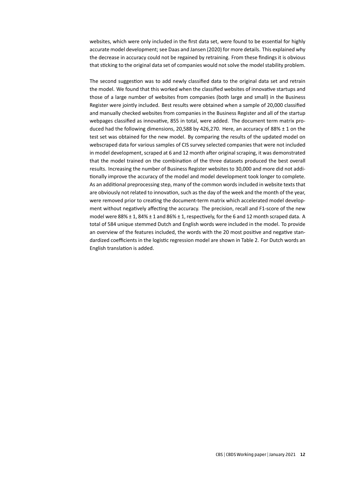websites, which were only included in the first data set, were found to be essential for highly accurate model development; see Daas and Jansen (2020) for more details. This explained why the decrease in accuracy could not be regained by retraining. From these findings it is obvious that sticking to the original data set of companies would not solve the model stability problem.

The second suggestion was to add newly classified data to the original data set and retrain the model. We found that this worked when the classified websites of innovative startups and those of a large number of websites from companies (both large and small) in the Business Register were jointly included. Best results were obtained when a sample of 20,000 classified and manually checked websites from companies in the Business Register and all of the startup webpages classified as innovative, 855 in total, were added. The document term matrix produced had the following dimensions, 20,588 by 426,270. Here, an accuracy of 88%  $\pm$  1 on the test set was obtained for the new model. By comparing the results of the updated model on webscraped data for various samples of CIS survey selected companies that were not included in model development, scraped at 6 and 12 month after original scraping, it was demonstrated that the model trained on the combination of the three datasets produced the best overall results. Increasing the number of Business Register websites to 30,000 and more did not additionally improve the accuracy of the model and model development took longer to complete. As an additional preprocessing step, many of the common words included in website texts that are obviously not related to innovation, such as the day of the week and the month of the year, were removed prior to creating the document-term matrix which accelerated model development without negatively affecting the accuracy. The precision, recall and F1-score of the new model were 88% ± 1, 84% ± 1 and 86% ± 1, respectively, for the 6 and 12 month scraped data. A total of 584 unique stemmed Dutch and English words were included in the model. To provide an overview of the features included, the words with the 20 most positive and negative standardized coefficients in the logistic regression model are shown in Table 2. For Dutch words an English translation is added.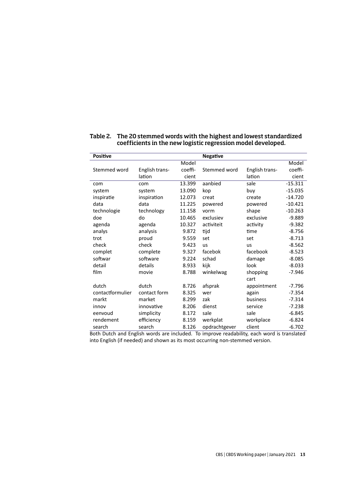| <b>Positive</b>  |                |         | <b>Negative</b> |                |           |
|------------------|----------------|---------|-----------------|----------------|-----------|
|                  |                | Model   |                 |                | Model     |
| Stemmed word     | English trans- | coeffi- | Stemmed word    | English trans- | coeffi-   |
|                  | lation         | cient   |                 | lation         | cient     |
| com              | com            | 13.399  | aanbied         | sale           | $-15.311$ |
| system           | system         | 13.090  | kop             | buy            | $-15.035$ |
| inspiratie       | inspiration    | 12.073  | creat           | create         | $-14.720$ |
| data             | data           | 11.225  | powered         | powered        | $-10.421$ |
| technologie      | technology     | 11.158  | vorm            | shape          | $-10.263$ |
| doe              | do             | 10.465  | exclusiev       | exclusive      | $-9.889$  |
| agenda           | agenda         | 10.327  | activiteit      | activity       | $-9.382$  |
| analys           | analysis       | 9.872   | tijd            | time           | $-8.756$  |
| trot             | proud          | 9.559   | set             | set            | $-8.713$  |
| check            | check          | 9.423   | <b>us</b>       | us             | $-8.562$  |
| complet          | complete       | 9.327   | facebok         | facebook       | $-8.523$  |
| softwar          | software       | 9.224   | schad           | damage         | $-8.085$  |
| detail           | details        | 8.933   | kijk            | look           | $-8.033$  |
| film             | movie          | 8.788   | winkelwag       | shopping       | $-7.946$  |
|                  |                |         |                 | cart           |           |
| dutch            | dutch          | 8.726   | afsprak         | appointment    | $-7.796$  |
| contactformulier | contact form   | 8.325   | wer             | again          | $-7.354$  |
| markt            | market         | 8.299   | zak             | business       | $-7.314$  |
| innov            | innovative     | 8.206   | dienst          | service        | $-7.238$  |
| eenvoud          | simplicity     | 8.172   | sale            | sale           | $-6.845$  |
| rendement        | efficiency     | 8.159   | werkplat        | workplace      | $-6.824$  |
| search           | search         | 8.126   | opdrachtgever   | client         | $-6.702$  |

#### Table 2. The 20 stemmed words with the highest and lowest standardized coefficients in the new logistic regression model developed.

Both Dutch and English words are included. To improve readability, each word is translated into English (if needed) and shown as its most occurring non-stemmed version.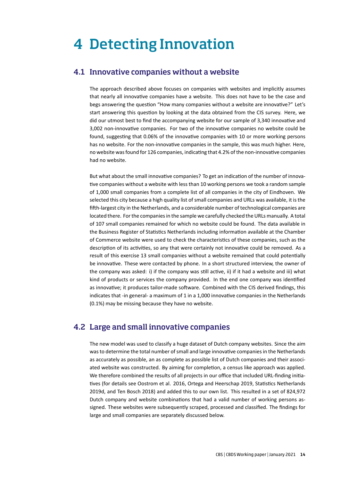## 4 Detecting Innovation

### 4.1 Innovative companies without a website

The approach described above focuses on companies with websites and implicitly assumes that nearly all innovative companies have a website. This does not have to be the case and begs answering the question "How many companies without a website are innovative?" Let's start answering this question by looking at the data obtained from the CIS survey. Here, we did our utmost best to find the accompanying website for our sample of 3,340 innovative and 3,002 non-innovative companies. For two of the innovative companies no website could be found, suggesting that 0.06% of the innovative companies with 10 or more working persons has no website. For the non-innovative companies in the sample, this was much higher. Here, no website was found for 126 companies, indicating that 4.2% of the non-innovative companies had no website.

But what about the small innovative companies? To get an indication of the number of innovative companies without a website with less than 10 working persons we took a random sample of 1,000 small companies from a complete list of all companies in the city of Eindhoven. We selected this city because a high quality list of small companies and URLs was available, it is the fifth-largest city in the Netherlands, and a considerable number of technological companies are located there. For the companies in the sample we carefully checked the URLs manually. A total of 107 small companies remained for which no website could be found. The data available in the Business Register of Statistics Netherlands including information available at the Chamber of Commerce website were used to check the characteristics of these companies, such as the description of its activities, so any that were certainly not innovative could be removed. As a result of this exercise 13 small companies without a website remained that could potentially be innovative. These were contacted by phone. In a short structured interview, the owner of the company was asked: i) if the company was still active, ii) if it had a website and iii) what kind of products or services the company provided. In the end one company was identified as innovative; it produces tailor-made software. Combined with the CIS derived findings, this indicates that -in general- a maximum of 1 in a 1,000 innovative companies in the Netherlands (0.1%) may be missing because they have no website.

## 4.2 Large and small innovative companies

The new model was used to classify a huge dataset of Dutch company websites. Since the aim was to determine the total number of small and large innovative companies in the Netherlands as accurately as possible, an as complete as possible list of Dutch companies and their associated website was constructed. By aiming for completion, a census like approach was applied. We therefore combined the results of all projects in our office that included URL-finding initiatives (for details see Oostrom et al. 2016, Ortega and Heerschap 2019, Statistics Netherlands 2019d, and Ten Bosch 2018) and added this to our own list. This resulted in a set of 824,972 Dutch company and website combinations that had a valid number of working persons assigned. These websites were subsequently scraped, processed and classified. The findings for large and small companies are separately discussed below.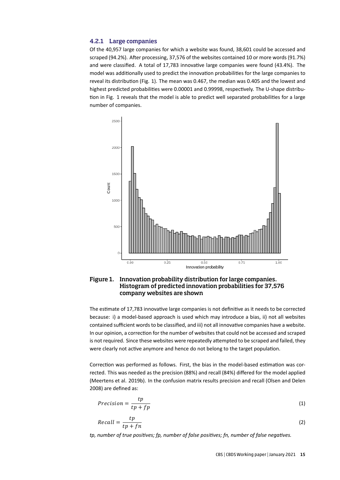#### 4.2.1 Large companies

Of the 40,957 large companies for which a website was found, 38,601 could be accessed and scraped (94.2%). After processing, 37,576 of the websites contained 10 or more words (91.7%) and were classified. A total of 17,783 innovative large companies were found (43.4%). The model was additionally used to predict the innovation probabilities for the large companies to reveal its distribution (Fig. 1). The mean was 0.467, the median was 0.405 and the lowest and highest predicted probabilities were 0.00001 and 0.99998, respectively. The U-shape distribution in Fig. 1 reveals that the model is able to predict well separated probabilities for a large number of companies.



#### Figure 1. Innovation probability distribution for large companies. Histogram of predicted innovation probabilities for 37,576 company websites are shown

The estimate of 17,783 innovative large companies is not definitive as it needs to be corrected because: i) a model-based approach is used which may introduce a bias, ii) not all websites contained sufficient words to be classified, and iii) not all innovative companies have a website. In our opinion, a correction for the number of websites that could not be accessed and scraped is not required. Since these websites were repeatedly attempted to be scraped and failed, they were clearly not active anymore and hence do not belong to the target population.

Correction was performed as follows. First, the bias in the model-based estimation was corrected. This was needed as the precision (88%) and recall (84%) differed for the model applied (Meertens et al. 2019b). In the confusion matrix results precision and recall (Olsen and Delen 2008) are defined as:

$$
Precision = \frac{tp}{tp + fp} \tag{1}
$$

$$
Recall = \frac{tp}{tp + fn} \tag{2}
$$

*tp, number of true positives; fp, number of false positives; fn, number of false negatives.*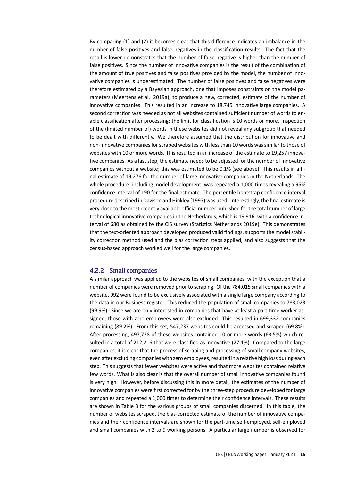By comparing (1) and (2) it becomes clear that this difference indicates an imbalance in the number of false positives and false negatives in the classification results. The fact that the recall is lower demonstrates that the number of false negative is higher than the number of false positives. Since the number of innovative companies is the result of the combination of the amount of true positives and false positives provided by the model, the number of innovative companies is underestimated. The number of false positives and false negatives were therefore estimated by a Bayesian approach, one that imposes constraints on the model parameters (Meertens et al. 2019a), to produce a new, corrected, estimate of the number of innovative companies. This resulted in an increase to 18,745 innovative large companies. A second correction was needed as not all websites contained sufficient number of words to enable classification after processing; the limit for classification is 10 words or more. Inspection of the (limited number of) words in these websites did not reveal any subgroup that needed to be dealt with differently. We therefore assumed that the distribution for innovative and non-innovative companies for scraped websites with less than 10 words was similar to those of websites with 10 or more words. This resulted in an increase of the estimate to 19,257 innovative companies. As a last step, the estimate needs to be adjusted for the number of innovative companies without a website; this was estimated to be 0.1% (see above). This results in a final estimate of 19,276 for the number of large innovative companies in the Netherlands. The whole procedure -including model development- was repeated a 1,000 times revealing a 95% confidence interval of 190 for the final estimate. The percentile bootstrap confidence interval procedure described in Davison and Hinkley (1997) was used. Interestingly, the final estimate is very close to the most recently available official number published for the total number of large technological innovative companies in the Netherlands; which is 19,916, with a confidence interval of 680 as obtained by the CIS survey (Statistics Netherlands 2019e). This demonstrates that the text-oriented approach developed produced valid findings, supports the model stability correction method used and the bias correction steps applied, and also suggests that the census-based approach worked well for the large companies.

#### 4.2.2 Small companies

A similar approach was applied to the websites of small companies, with the exception that a number of companies were removed prior to scraping. Of the 784,015 small companies with a website, 992 were found to be exclusively associated with a single large company according to the data in our Business register. This reduced the population of small companies to 783,023 (99.9%). Since we are only interested in companies that have at least a part-time worker assigned, those with zero employees were also excluded. This resulted in 699,332 companies remaining (89.2%). From this set, 547,237 websites could be accessed and scraped (69.8%). After processing, 497,738 of these websites contained 10 or more words (63.5%) which resulted in a total of 212,216 that were classified as innovative (27.1%). Compared to the large companies, it is clear that the process of scraping and processing of small company websites, even after excluding companies with zero employees, resulted in a relative high loss during each step. This suggests that fewer websites were active and that more websites contained relative few words. What is also clear is that the overall number of small innovative companies found is very high. However, before discussing this in more detail, the estimates of the number of innovative companies were first corrected for by the three-step procedure developed for large companies and repeated a 1,000 times to determine their confidence intervals. These results are shown in Table 3 for the various groups of small companies discerned. In this table, the number of websites scraped, the bias-corrected estimate of the number of innovative companies and their confidence intervals are shown for the part-time self-employed, self-employed and small companies with 2 to 9 working persons. A particular large number is observed for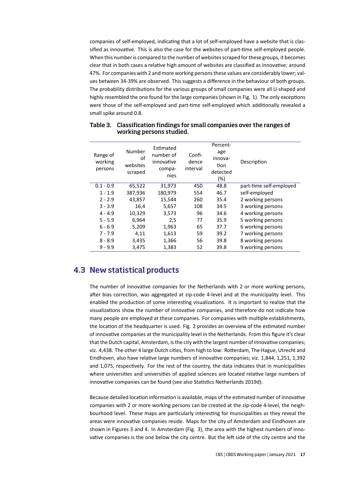companies of self-employed, indicating that a lot of self-employed have a website that is classified as innovative. This is also the case for the websites of part-time self-employed people. When this number is compared to the number of websites scraped for these groups, it becomes clear that in both cases a relative high amount of websites are classified as innovative; around 47%. For companies with 2 and more working persons these values are considerably lower; values between 34-39% are observed. This suggests a difference in the behaviour of both groups. The probability distributions for the various groups of small companies were all U-shaped and highly resembled the one found for the large companies (shown in Fig. 1). The only exceptions were those of the self-employed and part-time self-employed which additionally revealed a small spike around 0.8.

| Range of<br>working<br>persons | Number<br>οf<br>websites<br>scraped | Estimated<br>number of<br>innovative<br>compa-<br>nies | Confi-<br>dence<br>interval | Percent-<br>age<br>innova-<br>tion<br>detected<br>(%) | Description             |
|--------------------------------|-------------------------------------|--------------------------------------------------------|-----------------------------|-------------------------------------------------------|-------------------------|
| $0.1 - 0.9$                    | 65,522                              | 31,973                                                 | 450                         | 48.8                                                  | part-time self-employed |
| $1 - 1.9$                      | 387,936                             | 180,979                                                | 554                         | 46.7                                                  | self-employed           |
| $2 - 2.9$                      | 43,857                              | 15,544                                                 | 260                         | 35.4                                                  | 2 working persons       |
| $3 - 3.9$                      | 16,4                                | 5,657                                                  | 108                         | 34.5                                                  | 3 working persons       |
| $4 - 4.9$                      | 10,329                              | 3,573                                                  | 96                          | 34.6                                                  | 4 working persons       |
| $5 - 5.9$                      | 6,964                               | 2,5                                                    | 77                          | 35.9                                                  | 5 working persons       |
| $6 - 6.9$                      | 5,209                               | 1,963                                                  | 65                          | 37.7                                                  | 6 working persons       |
| $7 - 7.9$                      | 4,11                                | 1,613                                                  | 59                          | 39.2                                                  | 7 working persons       |
| $8 - 8.9$                      | 3,435                               | 1,366                                                  | 56                          | 39.8                                                  | 8 working persons       |
| $9 - 9.9$                      | 3,475                               | 1,383                                                  | 52                          | 39.8                                                  | 9 working persons       |

#### Table 3. Classification findings for small companies over the ranges of working persons studied.

## 4.3 New statistical products

The number of innovative companies for the Netherlands with 2 or more working persons, after bias correction, was aggregated at zip-code 4-level and at the municipality level. This enabled the production of some interesting visualizations. It is important to realize that the visualizations show the number of innovative companies, and therefore do not indicate how many people are employed at these companies. For companies with multiple establishments, the location of the headquarter is used. Fig. 2 provides an overview of the estimated number of innovative companies at the municipality level in the Netherlands. From this figure it's clear that the Dutch capital, Amsterdam, is the city with the largest number of innovative companies; viz. 4,438. The other 4 large Dutch cities, from high to low: Rotterdam, The Hague, Utrecht and Eindhoven, also have relative large numbers of innovative companies; viz. 1,844, 1,251, 1,392 and 1,075, respectively. For the rest of the country, the data indicates that in municipalities where universities and universities of applied sciences are located relative large numbers of innovative companies can be found (see also Statistics Netherlands 2019d).

Because detailed location information is available, maps of the estimated number of innovative companies with 2 or more working persons can be created at the zip-code 4-level, the neighbourhood level. These maps are particularly interesting for municipalities as they reveal the areas were innovative companies reside. Maps for the city of Amsterdam and Eindhoven are shown in Figures 3 and 4. In Amsterdam (Fig. 3), the area with the highest numbers of innovative companies is the one below the city centre. But the left side of the city centre and the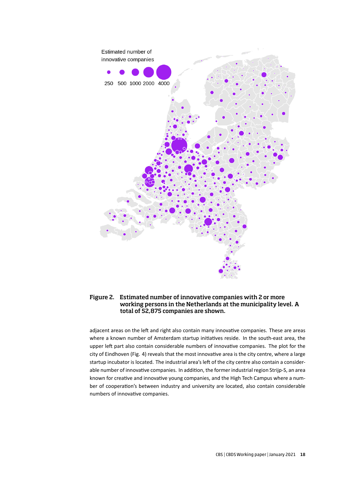

#### Figure 2. Estimated number of innovative companies with 2 or more working persons in the Netherlands at the municipality level. A total of 52,875 companies are shown.

adjacent areas on the left and right also contain many innovative companies. These are areas where a known number of Amsterdam startup initiatives reside. In the south-east area, the upper left part also contain considerable numbers of innovative companies. The plot for the city of Eindhoven (Fig. 4) reveals that the most innovative area is the city centre, where a large startup incubator is located. The industrial area's left of the city centre also contain a considerable number of innovative companies. In addition, the former industrial region Strijp-S, an area known for creative and innovative young companies, and the High Tech Campus where a number of cooperation's between industry and university are located, also contain considerable numbers of innovative companies.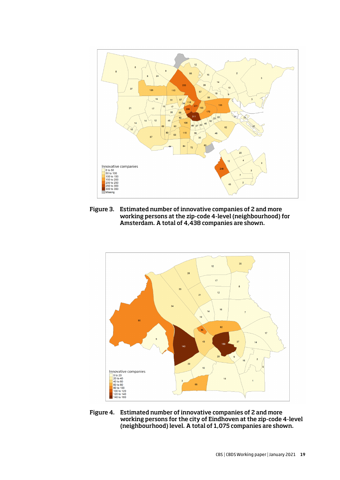

Figure 3. Estimated number of innovative companies of 2 and more working persons at the zip-code 4-level (neighbourhood) for Amsterdam. A total of 4,438 companies are shown.



Figure 4. Estimated number of innovative companies of 2 and more working persons for the city of Eindhoven at the zip-code 4-level (neighbourhood) level. A total of 1,075 companies are shown.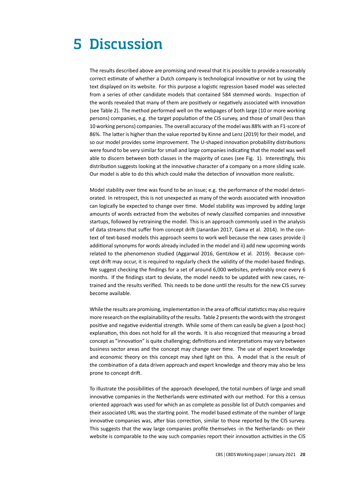## 5 Discussion

The results described above are promising and reveal that it is possible to provide a reasonably correct estimate of whether a Dutch company is technological innovative or not by using the text displayed on its website. For this purpose a logistic regression based model was selected from a series of other candidate models that contained 584 stemmed words. Inspection of the words revealed that many of them are positively or negatively associated with innovation (see Table 2). The method performed well on the webpages of both large (10 or more working persons) companies, e.g. the target population of the CIS survey, and those of small (less than 10 working persons) companies. The overall accuracy of the model was 88% with an F1-score of 86%. The latter is higher than the value reported by Kinne and Lenz (2019) for their model, and so our model provides some improvement. The U-shaped innovation probability distributions were found to be very similar for small and large companies indicating that the model was well able to discern between both classes in the majority of cases (see Fig. 1). Interestingly, this distribution suggests looking at the innovative character of a company on a more sliding scale. Our model is able to do this which could make the detection of innovation more realistic.

Model stability over time was found to be an issue; e.g. the performance of the model deteriorated. In retrospect, this is not unexpected as many of the words associated with innovation can logically be expected to change over time. Model stability was improved by adding large amounts of words extracted from the websites of newly classified companies and innovative startups, followed by retraining the model. This is an approach commonly used in the analysis of data streams that suffer from concept drift (Janardan 2017, Gama et al. 2014). In the context of text-based models this approach seems to work well because the new cases provide i) additional synonyms for words already included in the model and ii) add new upcoming words related to the phenomenon studied (Aggarwal 2016, Gentzkow et al. 2019). Because concept drift may occur, it is required to regularly check the validity of the model-based findings. We suggest checking the findings for a set of around 6,000 websites, preferably once every 6 months. If the findings start to deviate, the model needs to be updated with new cases, retrained and the results verified. This needs to be done until the results for the new CIS survey become available.

While the results are promising, implementation in the area of official statistics may also require more research on the explainability of the results. Table 2 presents the words with the strongest positive and negative evidential strength. While some of them can easily be given a (post-hoc) explanation, this does not hold for all the words. It is also recognized that measuring a broad concept as "innovation" is quite challenging; definitions and interpretations may vary between business sector areas and the concept may change over time. The use of expert knowledge and economic theory on this concept may shed light on this. A model that is the result of the combination of a data driven approach and expert knowledge and theory may also be less prone to concept drift.

To illustrate the possibilities of the approach developed, the total numbers of large and small innovative companies in the Netherlands were estimated with our method. For this a census oriented approach was used for which an as complete as possible list of Dutch companies and their associated URL was the starting point. The model based estimate of the number of large innovative companies was, after bias correction, similar to those reported by the CIS survey. This suggests that the way large companies profile themselves -in the Netherlands- on their website is comparable to the way such companies report their innovation activities in the CIS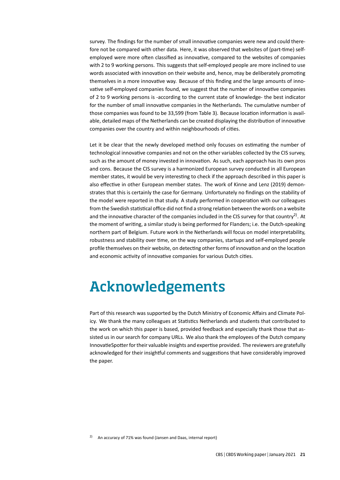survey. The findings for the number of small innovative companies were new and could therefore not be compared with other data. Here, it was observed that websites of (part-time) selfemployed were more often classified as innovative, compared to the websites of companies with 2 to 9 working persons. This suggests that self-employed people are more inclined to use words associated with innovation on their website and, hence, may be deliberately promoting themselves in a more innovative way. Because of this finding and the large amounts of innovative self-employed companies found, we suggest that the number of innovative companies of 2 to 9 working persons is -according to the current state of knowledge- the best indicator for the number of small innovative companies in the Netherlands. The cumulative number of those companies was found to be 33,599 (from Table 3). Because location information is available, detailed maps of the Netherlands can be created displaying the distribution of innovative companies over the country and within neighbourhoods of cities.

Let it be clear that the newly developed method only focuses on estimating the number of technological innovative companies and not on the other variables collected by the CIS survey, such as the amount of money invested in innovation. As such, each approach has its own pros and cons. Because the CIS survey is a harmonized European survey conducted in all European member states, it would be very interesting to check if the approach described in this paper is also effective in other European member states. The work of Kinne and Lenz (2019) demonstrates that this is certainly the case for Germany. Unfortunately no findings on the stability of the model were reported in that study. A study performed in cooperation with our colleagues from the Swedish statistical office did not find a strong relation between the words on a website and the innovative character of the companies included in the CIS survey for that country<sup>2)</sup>. At the moment of writing, a similar study is being performed for Flanders; i.e. the Dutch-speaking northern part of Belgium. Future work in the Netherlands will focus on model interpretability, robustness and stability over time, on the way companies, startups and self-employed people profile themselves on their website, on detecting other forms of innovation and on the location and economic activity of innovative companies for various Dutch cities.

## Acknowledgements

Part of this research was supported by the Dutch Ministry of Economic Affairs and Climate Policy. We thank the many colleagues at Statistics Netherlands and students that contributed to the work on which this paper is based, provided feedback and especially thank those that assisted us in our search for company URLs. We also thank the employees of the Dutch company InnovatieSpotter for their valuable insights and expertise provided. The reviewers are gratefully acknowledged for their insightful comments and suggestions that have considerably improved the paper.

<sup>&</sup>lt;sup>2)</sup> An accuracy of 71% was found (Jansen and Daas, internal report)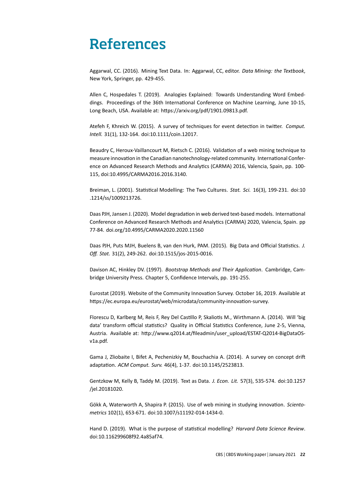## References

Aggarwal, CC. (2016). Mining Text Data. In: Aggarwal, CC, editor. *Data Mining: the Textbook*, New York, Springer, pp. 429-455.

Allen C, Hospedales T. (2019). Analogies Explained: Towards Understanding Word Embeddings. Proceedings of the 36th International Conference on Machine Learning, June 10-15, Long Beach, USA. Available at: https://arxiv.org/pdf/1901.09813.pdf.

Atefeh F, Khreich W. (2015). A survey of techniques for event detection in twitter. *Comput. Intell.* 31(1), 132-164. doi:10.1111/coin.12017.

Beaudry C, Heroux-Vaillancourt M, Rietsch C. (2016). Validation of a web mining technique to measure innovation in the Canadian nanotechnology-related community. International Conference on Advanced Research Methods and Analytics (CARMA) 2016, Valencia, Spain, pp. 100- 115, doi:10.4995/CARMA2016.2016.3140.

Breiman, L. (2001). Statistical Modelling: The Two Cultures. *Stat. Sci.* 16(3), 199-231. doi:10 .1214/ss/1009213726.

Daas PJH, Jansen J. (2020). Model degradation in web derived text-based models. International Conference on Advanced Research Methods and Analytics (CARMA) 2020, Valencia, Spain. pp 77-84. doi.org/10.4995/CARMA2020.2020.11560

Daas PJH, Puts MJH, Buelens B, van den Hurk, PAM. (2015). Big Data and Official Statistics. *J. Off. Stat.* 31(2), 249-262. doi:10.1515/jos-2015-0016.

Davison AC, Hinkley DV. (1997). *Bootstrap Methods and Their Application*. Cambridge, Cambridge University Press. Chapter 5, Confidence Intervals, pp. 191-255.

Eurostat (2019). Website of the Community Innovation Survey. October 16, 2019. Available at https://ec.europa.eu/eurostat/web/microdata/community-innovation-survey.

Florescu D, Karlberg M, Reis F, Rey Del Castillo P, Skaliotis M., Wirthmann A. (2014). Will 'big data' transform official statistics? Quality in Official Statistics Conference, June 2-5, Vienna, Austria. Available at: http://www.q2014.at/fileadmin/user\_upload/ESTAT-Q2014-BigDataOSv1a.pdf.

Gama J, Zliobaite I, Bifet A, Pechenizkiy M, Bouchachia A. (2014). A survey on concept drift adaptation. *ACM Comput. Surv.* 46(4), 1-37. doi:10.1145/2523813.

Gentzkow M, Kelly B, Taddy M. (2019). Text as Data. *J. Econ. Lit.* 57(3), 535-574. doi:10.1257 /jel.20181020.

Gökk A, Waterworth A, Shapira P. (2015). Use of web mining in studying innovation. *Scientometrics* 102(1), 653-671. doi:10.1007/s11192-014-1434-0.

Hand D. (2019). What is the purpose of statistical modelling? *Harvard Data Science Review*. doi:10.116299608f92.4a85af74.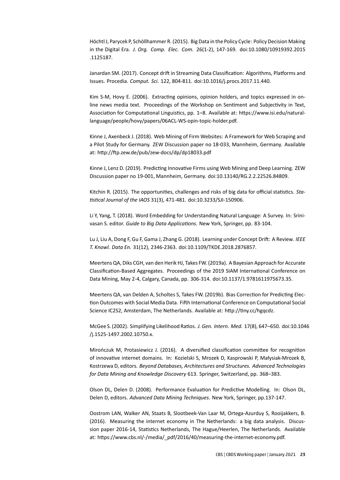Höchtl J, Parycek P, Schöllhammer R. (2015). Big Data in the Policy Cycle: Policy Decision Making in the Digital Era. *J. Org. Comp. Elec. Com.* 26(1-2), 147-169. doi:10.1080/10919392.2015 .1125187.

Janardan SM. (2017). Concept drift in Streaming Data Classification: Algorithms, Platforms and Issues. Procedia. *Comput. Sci.* 122, 804-811. doi:10.1016/j.procs.2017.11.440.

Kim S-M, Hovy E. (2006). Extracting opinions, opinion holders, and topics expressed in online news media text. Proceedings of the Workshop on Sentiment and Subjectivity in Text, Association for Computational Linguistics, pp. 1–8. Available at: https://www.isi.edu/naturallanguage/people/hovy/papers/06ACL-WS-opin-topic-holder.pdf.

Kinne J, Axenbeck J. (2018). Web Mining of Firm Websites: A Framework for Web Scraping and a Pilot Study for Germany. ZEW Discussion paper no 18-033, Mannheim, Germany. Available at: http://ftp.zew.de/pub/zew-docs/dp/dp18033.pdf

Kinne J, Lenz D. (2019). Predicting Innovative Firms using Web Mining and Deep Learning. ZEW Discussion paper no 19-001, Mannheim, Germany. doi:10.13140/RG.2.2.22526.84809.

Kitchin R. (2015). The opportunities, challenges and risks of big data for official statistics. *Statistical Journal of the IAOS* 31(3), 471-481. doi:10.3233/SJI-150906.

Li Y, Yang, T. (2018). Word Embedding for Understanding Natural Language: A Survey. In: Srinivasan S. editor. *Guide to Big Data Applications*. New York, Springer, pp. 83-104.

Lu J, Liu A, Dong F, Gu F, Gama J, Zhang G. (2018). Learning under Concept Drift: A Review. *IEEE T. Knowl. Data En.* 31(12), 2346-2363. doi:10.1109/TKDE.2018.2876857.

Meertens QA, Diks CGH, van den Herik HJ, Takes FW. (2019a). A Bayesian Approach for Accurate Classification-Based Aggregates. Proceedings of the 2019 SIAM International Conference on Data Mining, May 2-4, Calgary, Canada, pp. 306-314. doi:10.1137/1.9781611975673.35.

Meertens QA, van Delden A, Scholtes S, Takes FW. (2019b). Bias Correction for Predicting Election Outcomes with Social Media Data. Fifth International Conference on Computational Social Science IC2S2, Amsterdam, The Netherlands. Available at: http://tiny.cc/hgqcdz.

McGee S. (2002). Simplifying Likelihood Ratios. *J. Gen. Intern. Med.* 17(8), 647–650. doi:10.1046 /j.1525-1497.2002.10750.x.

Mirończuk M, Protasiewicz J. (2016). A diversified classification committee for recognition of innovative internet domains. In: Kozielski S, Mrozek D, Kasprowski P, Małysiak-Mrozek B, Kostrzewa D, editors. *Beyond Databases, Architectures and Structures. Advanced Technologies for Data Mining and Knowledge Discovery* 613. Springer, Switzerland, pp. 368–383.

Olson DL, Delen D. (2008). Performance Evaluation for Predictive Modelling. In: Olson DL, Delen D, editors. *Advanced Data Mining Techniques*. New York, Springer, pp.137-147.

Oostrom LAN, Walker AN, Staats B, Slootbeek-Van Laar M, Ortega-Azurduy S, Rooijakkers, B. (2016). Measuring the internet economy in The Netherlands: a big data analysis. Discussion paper 2016-14, Statistics Netherlands, The Hague/Heerlen, The Netherlands. Available at: https://www.cbs.nl/-/media/\_pdf/2016/40/measuring-the-internet-economy.pdf.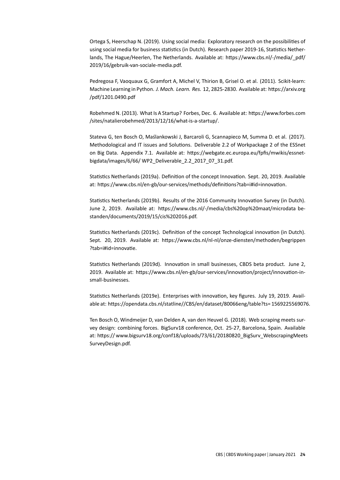Ortega S, Heerschap N. (2019). Using social media: Exploratory research on the possibilities of using social media for business statistics (in Dutch). Research paper 2019-16, Statistics Netherlands, The Hague/Heerlen, The Netherlands. Available at: https://www.cbs.nl/-/media/\_pdf/ 2019/16/gebruik-van-sociale-media.pdf.

Pedregosa F, Vaoquaux G, Gramfort A, Michel V, Thirion B, Grisel O. et al. (2011). Scikit-learn: Machine Learning in Python. *J. Mach. Learn. Res.* 12, 2825-2830. Available at: https://arxiv.org /pdf/1201.0490.pdf

Robehmed N. (2013). What Is A Startup? Forbes, Dec. 6. Available at: https://www.forbes.com /sites/natalierobehmed/2013/12/16/what-is-a-startup/.

Stateva G, ten Bosch O, Maślankowski J, Barcaroli G, Scannapieco M, Summa D. et al. (2017). Methodological and IT issues and Solutions. Deliverable 2.2 of Workpackage 2 of the ESSnet on Big Data. Appendix 7.1. Available at: https://webgate.ec.europa.eu/fpfis/mwikis/essnetbigdata/images/6/66/ WP2\_Deliverable\_2.2\_2017\_07\_31.pdf.

Statistics Netherlands (2019a). Definition of the concept Innovation. Sept. 20, 2019. Available at: https://www.cbs.nl/en-gb/our-services/methods/definitions?tab=i#id=innovation.

Statistics Netherlands (2019b). Results of the 2016 Community Innovation Survey (in Dutch). June 2, 2019. Available at: https://www.cbs.nl/-/media/cbs%20op%20maat/microdata bestanden/documents/2019/15/cis%202016.pdf.

Statistics Netherlands (2019c). Definition of the concept Technological innovation (in Dutch). Sept. 20, 2019. Available at: https://www.cbs.nl/nl-nl/onze-diensten/methoden/begrippen ?tab=i#id=innovatie.

Statistics Netherlands (2019d). Innovation in small businesses, CBDS beta product. June 2, 2019. Available at: https://www.cbs.nl/en-gb/our-services/innovation/project/innovation-insmall-businesses.

Statistics Netherlands (2019e). Enterprises with innovation, key figures. July 19, 2019. Available at: https://opendata.cbs.nl/statline//CBS/en/dataset/80066eng/table?ts= 1569225569076.

Ten Bosch O, Windmeijer D, van Delden A, van den Heuvel G. (2018). Web scraping meets survey design: combining forces. BigSurv18 conference, Oct. 25-27, Barcelona, Spain. Available at: https:// www.bigsurv18.org/conf18/uploads/73/61/20180820\_BigSurv\_WebscrapingMeets SurveyDesign.pdf.